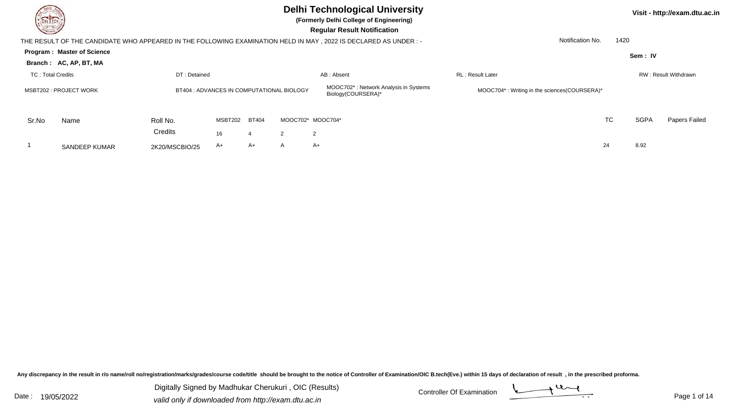

**(Formerly Delhi College of Engineering)**

 **Regular Result Notification**

|                                                                     | THE RESULT OF THE CANDIDATE WHO APPEARED IN THE FOLLOWING EXAMINATION HELD IN MAY, 2022 IS DECLARED AS UNDER :- | Notification No. | 1420    |              |                                                                          |                                              |                          |    |             |                      |
|---------------------------------------------------------------------|-----------------------------------------------------------------------------------------------------------------|------------------|---------|--------------|--------------------------------------------------------------------------|----------------------------------------------|--------------------------|----|-------------|----------------------|
|                                                                     | <b>Program: Master of Science</b>                                                                               |                  |         |              |                                                                          |                                              |                          |    | Sem: IV     |                      |
|                                                                     | Branch: AC, AP, BT, MA                                                                                          |                  |         |              |                                                                          |                                              |                          |    |             |                      |
| TC: Total Credits                                                   |                                                                                                                 | DT: Detained     |         |              |                                                                          | AB: Absent                                   | <b>RL</b> : Result Later |    |             | RW: Result Withdrawn |
| BT404 : ADVANCES IN COMPUTATIONAL BIOLOGY<br>MSBT202 : PROJECT WORK |                                                                                                                 |                  |         |              | MOOC702 <sup>*</sup> : Network Analysis in Systems<br>Biology(COURSERA)* | MOOC704*: Writing in the sciences(COURSERA)* |                          |    |             |                      |
| Sr.No                                                               | Name                                                                                                            | Roll No.         | MSBT202 | <b>BT404</b> | MOOC702* MOOC704*                                                        |                                              |                          | TC | <b>SGPA</b> | Papers Failed        |
|                                                                     |                                                                                                                 | Credits          | 16      |              | $\mathcal{P}$                                                            | $\mathcal{P}$                                |                          |    |             |                      |
|                                                                     | SANDEEP KUMAR                                                                                                   | 2K20/MSCBIO/25   | A+      | A+           | A                                                                        | A+                                           |                          | 24 | 8.92        |                      |

Any discrepancy in the result in r/o name/roll no/registration/marks/grades/course code/title should be brought to the notice of Controller of Examination/OIC B.tech(Eve.) within 15 days of declaration of result, in the pr

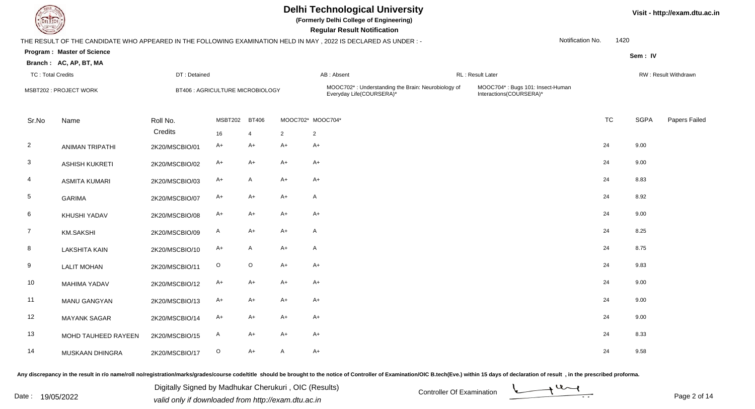

**(Formerly Delhi College of Engineering)**

 **Regular Result Notification**

| <b>Course Lines</b>      |                                                             |                     |                                  |                                |              | Regular Result Notification                                                                                     |                                                             |                  |           |             |                             |
|--------------------------|-------------------------------------------------------------|---------------------|----------------------------------|--------------------------------|--------------|-----------------------------------------------------------------------------------------------------------------|-------------------------------------------------------------|------------------|-----------|-------------|-----------------------------|
|                          |                                                             |                     |                                  |                                |              | THE RESULT OF THE CANDIDATE WHO APPEARED IN THE FOLLOWING EXAMINATION HELD IN MAY, 2022 IS DECLARED AS UNDER :- |                                                             | Notification No. | 1420      |             |                             |
|                          | <b>Program: Master of Science</b><br>Branch: AC, AP, BT, MA |                     |                                  |                                |              |                                                                                                                 |                                                             |                  |           | Sem: IV     |                             |
| <b>TC: Total Credits</b> |                                                             | DT: Detained        |                                  |                                |              | AB: Absent                                                                                                      | RL: Result Later                                            |                  |           |             | <b>RW: Result Withdrawn</b> |
|                          | MSBT202 : PROJECT WORK                                      |                     | BT406 : AGRICULTURE MICROBIOLOGY |                                |              | MOOC702*: Understanding the Brain: Neurobiology of<br>Everyday Life(COURSERA)*                                  | MOOC704*: Bugs 101: Insect-Human<br>Interactions(COURSERA)* |                  |           |             |                             |
| Sr.No                    | Name                                                        | Roll No.<br>Credits | MSBT202<br>16                    | <b>BT406</b><br>$\overline{4}$ | 2            | MOOC702* MOOC704*<br>$\overline{2}$                                                                             |                                                             |                  | <b>TC</b> | <b>SGPA</b> | Papers Failed               |
| $\overline{2}$           | <b>ANIMAN TRIPATHI</b>                                      | 2K20/MSCBIO/01      | $A+$                             | $A+$                           | $A+$         | $A+$                                                                                                            |                                                             | 24               |           | 9.00        |                             |
| 3                        | <b>ASHISH KUKRETI</b>                                       | 2K20/MSCBIO/02      | $A+$                             | A+                             | $A+$         | A+                                                                                                              |                                                             | 24               |           | 9.00        |                             |
| 4                        | <b>ASMITA KUMARI</b>                                        | 2K20/MSCBIO/03      | A+                               | A                              | $A+$         | $A+$                                                                                                            |                                                             | 24               |           | 8.83        |                             |
| $5\phantom{.0}$          | <b>GARIMA</b>                                               | 2K20/MSCBIO/07      | A+                               | A+                             | $A+$         | A                                                                                                               |                                                             | 24               |           | 8.92        |                             |
| 6                        | KHUSHI YADAV                                                | 2K20/MSCBIO/08      | $A+$                             | A+                             | $A+$         | $A+$                                                                                                            |                                                             | 24               |           | 9.00        |                             |
| $\overline{7}$           | <b>KM.SAKSHI</b>                                            | 2K20/MSCBIO/09      | A                                | A+                             | $A+$         | A                                                                                                               |                                                             | 24               |           | 8.25        |                             |
| 8                        | <b>LAKSHITA KAIN</b>                                        | 2K20/MSCBIO/10      | $A+$                             | A                              | $A+$         | A                                                                                                               |                                                             | 24               |           | 8.75        |                             |
| 9                        | <b>LALIT MOHAN</b>                                          | 2K20/MSCBIO/11      | $\mathsf O$                      | $\mathsf O$                    | $A+$         | $A+$                                                                                                            |                                                             | 24               |           | 9.83        |                             |
| 10                       | <b>MAHIMA YADAV</b>                                         | 2K20/MSCBIO/12      | $A+$                             | $A+$                           | $A+$         | $A+$                                                                                                            |                                                             | 24               |           | 9.00        |                             |
| 11                       | MANU GANGYAN                                                | 2K20/MSCBIO/13      | $A+$                             | A+                             | $A+$         | $A+$                                                                                                            |                                                             | 24               |           | 9.00        |                             |
| 12                       | <b>MAYANK SAGAR</b>                                         | 2K20/MSCBIO/14      | $A+$                             | A+                             | $A+$         | $A+$                                                                                                            |                                                             | 24               |           | 9.00        |                             |
| 13                       | MOHD TAUHEED RAYEEN                                         | 2K20/MSCBIO/15      | $\mathsf{A}$                     | A+                             | $A+$         | $A+$                                                                                                            |                                                             | 24               |           | 8.33        |                             |
| 14                       | MUSKAAN DHINGRA                                             | 2K20/MSCBIO/17      | $\circ$                          | $A+$                           | $\mathsf{A}$ | $A+$                                                                                                            |                                                             | 24               |           | 9.58        |                             |

Any discrepancy in the result in r/o name/roll no/registration/marks/grades/course code/title should be brought to the notice of Controller of Examination/OIC B.tech(Eve.) within 15 days of declaration of result, in the pr

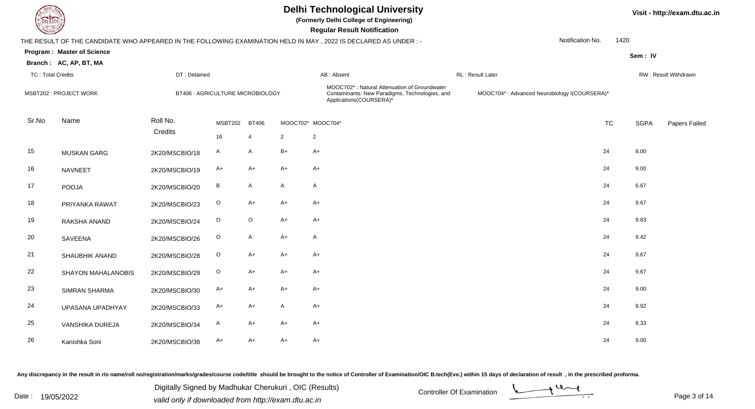

**(Formerly Delhi College of Engineering)**

 **Regular Result Notification**

|                          |                                   |                     |                                  |                |                | THE RESULT OF THE CANDIDATE WHO APPEARED IN THE FOLLOWING EXAMINATION HELD IN MAY, 2022 IS DECLARED AS UNDER :-           |                                              | Notification No. | 1420        |                      |
|--------------------------|-----------------------------------|---------------------|----------------------------------|----------------|----------------|---------------------------------------------------------------------------------------------------------------------------|----------------------------------------------|------------------|-------------|----------------------|
|                          | <b>Program: Master of Science</b> |                     |                                  |                |                |                                                                                                                           |                                              |                  | Sem: IV     |                      |
|                          | Branch: AC, AP, BT, MA            |                     |                                  |                |                |                                                                                                                           |                                              |                  |             |                      |
| <b>TC: Total Credits</b> |                                   | DT: Detained        |                                  |                |                | AB: Absent                                                                                                                | RL: Result Later                             |                  |             | RW: Result Withdrawn |
|                          | MSBT202 : PROJECT WORK            |                     | BT406 : AGRICULTURE MICROBIOLOGY |                |                | MOOC702*: Natural Attenuation of Groundwater<br>Contaminants: New Paradigms, Technologies, and<br>Applications(COURSERA)* | MOOC704*: Advanced Neurobiology I(COURSERA)* |                  |             |                      |
| Sr.No                    | Name                              | Roll No.<br>Credits | <b>MSBT202</b>                   | <b>BT406</b>   |                | MOOC702* MOOC704*                                                                                                         |                                              | <b>TC</b>        | <b>SGPA</b> | Papers Failed        |
|                          |                                   |                     | 16                               | $\overline{4}$ | $\overline{2}$ | 2                                                                                                                         |                                              |                  |             |                      |
| 15                       | <b>MUSKAN GARG</b>                | 2K20/MSCBIO/18      | $\mathsf{A}$                     | A              | $B+$           | $A+$                                                                                                                      |                                              | 24               | 8.00        |                      |
| 16                       | <b>NAVNEET</b>                    | 2K20/MSCBIO/19      | $A+$                             | $A+$           | $A+$           | $A+$                                                                                                                      |                                              | 24               | 9.00        |                      |
| 17                       | POOJA                             | 2K20/MSCBIO/20      | B                                | A              | $\mathsf{A}$   | $\mathsf{A}$                                                                                                              |                                              | 24               | 6.67        |                      |
| 18                       | PRIYANKA RAWAT                    | 2K20/MSCBIO/23      | $\circ$                          | A+             | $A+$           | $A+$                                                                                                                      |                                              | 24               | 9.67        |                      |
| 19                       | RAKSHA ANAND                      | 2K20/MSCBIO/24      | $\circ$                          | $\circ$        | $A+$           | $A+$                                                                                                                      |                                              | 24               | 9.83        |                      |
| 20                       | SAVEENA                           | 2K20/MSCBIO/26      | $\mathsf O$                      | A              | $A+$           | $\mathsf{A}$                                                                                                              |                                              | 24               | 9.42        |                      |
| 21                       | SHAUBHIK ANAND                    | 2K20/MSCBIO/28      | $\circ$                          | A+             | $A+$           | $A+$                                                                                                                      |                                              | 24               | 9.67        |                      |
| 22                       | SHAYON MAHALANOBIS                | 2K20/MSCBIO/29      | $\circ$                          | A+             | $A+$           | $A+$                                                                                                                      |                                              | 24               | 9.67        |                      |
| 23                       | SIMRAN SHARMA                     | 2K20/MSCBIO/30      | A+                               | A+             | $A+$           | $A+$                                                                                                                      |                                              | 24               | 9.00        |                      |
| 24                       | UPASANA UPADHYAY                  | 2K20/MSCBIO/33      | A+                               | A+             | $\mathsf{A}$   | $A+$                                                                                                                      |                                              | 24               | 8.92        |                      |
| 25                       | VANSHIKA DUREJA                   | 2K20/MSCBIO/34      | A                                | A+             | $A+$           | $A+$                                                                                                                      |                                              | 24               | 8.33        |                      |
| 26                       | Kanishka Soni                     | 2K20/MSCBIO/38      | $A+$                             | A+             | $A+$           | $A+$                                                                                                                      |                                              | 24               | 9.00        |                      |

Any discrepancy in the result in r/o name/roll no/registration/marks/grades/course code/title should be brought to the notice of Controller of Examination/OIC B.tech(Eve.) within 15 days of declaration of result, in the pr

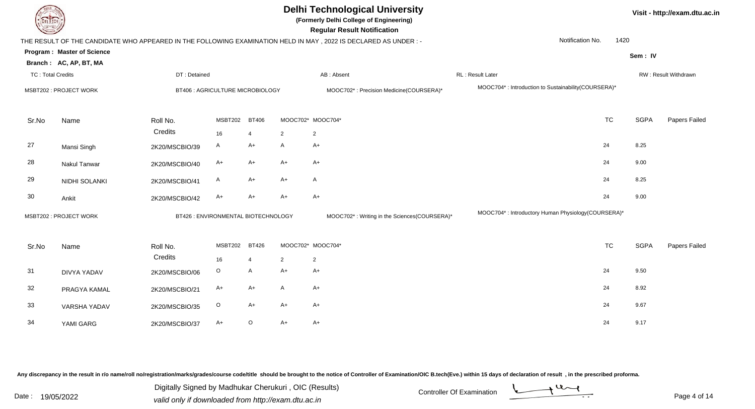| EL I ECH                 |                            |                                     |                |                |                | <b>Delhi Technological University</b><br>(Formerly Delhi College of Engineering)<br><b>Regular Result Notification</b> |                                                     | Visit - http://exam.dtu.ac.in |             |                      |  |
|--------------------------|----------------------------|-------------------------------------|----------------|----------------|----------------|------------------------------------------------------------------------------------------------------------------------|-----------------------------------------------------|-------------------------------|-------------|----------------------|--|
|                          |                            |                                     |                |                |                | THE RESULT OF THE CANDIDATE WHO APPEARED IN THE FOLLOWING EXAMINATION HELD IN MAY, 2022 IS DECLARED AS UNDER :-        | Notification No.                                    | 1420                          |             |                      |  |
|                          | Program: Master of Science |                                     |                |                |                |                                                                                                                        |                                                     |                               | Sem: IV     |                      |  |
|                          | Branch: AC, AP, BT, MA     |                                     |                |                |                |                                                                                                                        |                                                     |                               |             |                      |  |
| <b>TC: Total Credits</b> |                            | DT: Detained                        |                |                |                | AB: Absent                                                                                                             | RL: Result Later                                    |                               |             | RW: Result Withdrawn |  |
|                          | MSBT202 : PROJECT WORK     | BT406 : AGRICULTURE MICROBIOLOGY    |                |                |                | MOOC702*: Precision Medicine(COURSERA)*                                                                                | MOOC704*: Introduction to Sustainability(COURSERA)* |                               |             |                      |  |
| Sr.No                    | Name                       | Roll No.                            | MSBT202        | <b>BT406</b>   |                | MOOC702* MOOC704*                                                                                                      | <b>TC</b>                                           |                               | <b>SGPA</b> | Papers Failed        |  |
|                          |                            | Credits                             | 16             | $\overline{4}$ | $\overline{2}$ | $\overline{2}$                                                                                                         |                                                     |                               |             |                      |  |
| 27                       | Mansi Singh                | 2K20/MSCBIO/39                      | A              | $A+$           | A              | $A+$                                                                                                                   | 24                                                  |                               | 8.25        |                      |  |
| 28                       | <b>Nakul Tanwar</b>        | 2K20/MSCBIO/40                      | A+             | $A+$           | $A+$           | $A+$                                                                                                                   | 24                                                  |                               | 9.00        |                      |  |
| 29                       | NIDHI SOLANKI              | 2K20/MSCBIO/41                      | A              | $A+$           | $A+$           | $\mathsf{A}$                                                                                                           | 24                                                  |                               | 8.25        |                      |  |
| 30                       | Ankit                      | 2K20/MSCBIO/42                      | A+             | $A+$           | $A+$           | $A+$                                                                                                                   | 24                                                  |                               | 9.00        |                      |  |
|                          | MSBT202 : PROJECT WORK     | BT426 : ENVIRONMENTAL BIOTECHNOLOGY |                |                |                | MOOC702*: Writing in the Sciences(COURSERA)*                                                                           | MOOC704*: Introductory Human Physiology(COURSERA)*  |                               |             |                      |  |
| Sr.No                    | Name                       | Roll No.                            | <b>MSBT202</b> | <b>BT426</b>   |                | MOOC702* MOOC704*                                                                                                      | <b>TC</b>                                           |                               | <b>SGPA</b> | Papers Failed        |  |
|                          |                            | Credits                             | 16             | $\overline{4}$ | 2              | 2                                                                                                                      |                                                     |                               |             |                      |  |
| 31                       | <b>DIVYA YADAV</b>         | 2K20/MSCBIO/06                      | $\circ$        | $\mathsf{A}$   | $A+$           | $A+$                                                                                                                   | 24                                                  |                               | 9.50        |                      |  |
| 32                       | PRAGYA KAMAL               | 2K20/MSCBIO/21                      | A+             | $A+$           | A              | $A+$                                                                                                                   | 24                                                  |                               | 8.92        |                      |  |
| 33                       | <b>VARSHA YADAV</b>        | 2K20/MSCBIO/35                      | O              | $A+$           | A+             | $A+$                                                                                                                   | 24                                                  |                               | 9.67        |                      |  |

Any discrepancy in the result in r/o name/roll no/registration/marks/grades/course code/title should be brought to the notice of Controller of Examination/OIC B.tech(Eve.) within 15 days of declaration of result, in the pr

G 2K20/MSCBIO/37 A+ O A+ A+

YAMI GARG

34

Digitally Signed by Madhukar Cherukuri, OIC (Results)<br>Date : 19/05/2022 **Controller Of Examination** Digitally Signed by Madhukar Cherukuri , OIC (Results)valid only if downloaded from http://exam.dtu.ac.in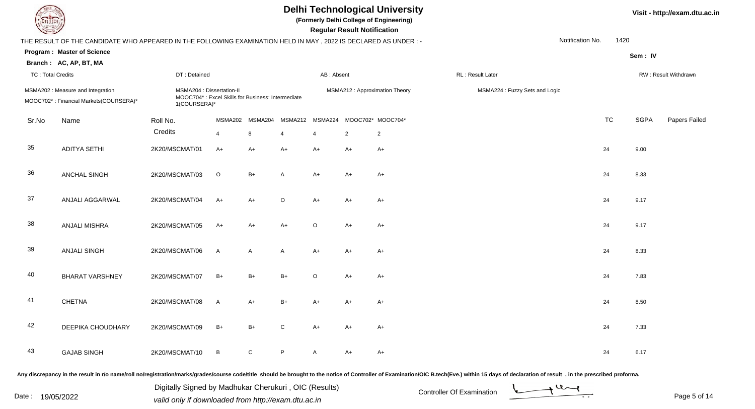

**(Formerly Delhi College of Engineering)**

 **Regular Result Notification**

| $\overline{\phantom{0}}$ |                                                                                                                 |                                                                                                |                 |              |                | <b>Regular Result Rothloution</b> |                |                                |                  |                                |           |             |                      |
|--------------------------|-----------------------------------------------------------------------------------------------------------------|------------------------------------------------------------------------------------------------|-----------------|--------------|----------------|-----------------------------------|----------------|--------------------------------|------------------|--------------------------------|-----------|-------------|----------------------|
|                          | THE RESULT OF THE CANDIDATE WHO APPEARED IN THE FOLLOWING EXAMINATION HELD IN MAY, 2022 IS DECLARED AS UNDER: - |                                                                                                |                 |              |                |                                   |                |                                |                  | Notification No.               | 1420      |             |                      |
|                          | <b>Program: Master of Science</b>                                                                               |                                                                                                |                 |              |                |                                   |                |                                |                  |                                |           | Sem: IV     |                      |
|                          | Branch: AC, AP, BT, MA                                                                                          |                                                                                                |                 |              |                |                                   |                |                                |                  |                                |           |             |                      |
| <b>TC: Total Credits</b> |                                                                                                                 | DT: Detained                                                                                   |                 |              |                | AB: Absent                        |                |                                | RL: Result Later |                                |           |             | RW: Result Withdrawn |
|                          | MSMA202 : Measure and Integration<br>MOOC702*: Financial Markets(COURSERA)*                                     | MSMA204 : Dissertation-II<br>MOOC704*: Excel Skills for Business: Intermediate<br>1(COURSERA)* |                 |              |                |                                   |                | MSMA212 : Approximation Theory |                  | MSMA224 : Fuzzy Sets and Logic |           |             |                      |
| Sr.No                    | Name                                                                                                            | Roll No.                                                                                       | MSMA202         | MSMA204      | MSMA212        |                                   |                | MSMA224 MOOC702* MOOC704*      |                  |                                | <b>TC</b> | <b>SGPA</b> | Papers Failed        |
|                          |                                                                                                                 | Credits                                                                                        | $\overline{4}$  | 8            | $\overline{4}$ | $\overline{4}$                    | $\overline{2}$ | $\overline{2}$                 |                  |                                |           |             |                      |
| 35                       | <b>ADITYA SETHI</b>                                                                                             | 2K20/MSCMAT/01                                                                                 | $A+$            | $A+$         | $A+$           | $A+$                              | $A+$           | $A+$                           |                  |                                | 24        | 9.00        |                      |
| 36                       | <b>ANCHAL SINGH</b>                                                                                             | 2K20/MSCMAT/03                                                                                 | $\circ$         | $B+$         | A              | $A+$                              | $A+$           | $A+$                           |                  |                                | 24        | 8.33        |                      |
| 37                       | ANJALI AGGARWAL                                                                                                 | 2K20/MSCMAT/04                                                                                 | $A+$            | A+           | $\mathsf O$    | $A+$                              | $A+$           | $A+$                           |                  |                                | 24        | 9.17        |                      |
| 38                       | <b>ANJALI MISHRA</b>                                                                                            | 2K20/MSCMAT/05                                                                                 | $A+$            | $A+$         | $A+$           | $\circ$                           | $A+$           | $A+$                           |                  |                                | 24        | 9.17        |                      |
| 39                       | <b>ANJALI SINGH</b>                                                                                             | 2K20/MSCMAT/06                                                                                 | $\mathsf{A}$    | $\mathsf{A}$ | $\mathsf{A}$   | $A+$                              | $A+$           | $A+$                           |                  |                                | 24        | 8.33        |                      |
| 40                       | <b>BHARAT VARSHNEY</b>                                                                                          | 2K20/MSCMAT/07                                                                                 | $B+$            | $B+$         | $B+$           | $\circ$                           | A+             | $A+$                           |                  |                                | 24        | 7.83        |                      |
| 41                       | <b>CHETNA</b>                                                                                                   | 2K20/MSCMAT/08                                                                                 | $\mathsf{A}$    | $A+$         | $B+$           | $A+$                              | $A+$           | $A+$                           |                  |                                | 24        | 8.50        |                      |
| 42                       | DEEPIKA CHOUDHARY                                                                                               | 2K20/MSCMAT/09                                                                                 | $B+$            | $B+$         | $\mathbf C$    | $A+$                              | $A+$           | $A+$                           |                  |                                | 24        | 7.33        |                      |
| 43                       | <b>GAJAB SINGH</b>                                                                                              | 2K20/MSCMAT/10                                                                                 | $\, {\bf B} \,$ | $\mathsf{C}$ | P              | A                                 | A+             | A+                             |                  |                                | 24        | 6.17        |                      |
|                          |                                                                                                                 |                                                                                                |                 |              |                |                                   |                |                                |                  |                                |           |             |                      |

Any discrepancy in the result in r/o name/roll no/registration/marks/grades/course code/title should be brought to the notice of Controller of Examination/OIC B.tech(Eve.) within 15 days of declaration of result, in the pr

Date : 19/05/2022 Valid only if downloaded from http://exam.dtu.ac.in<br>
Date : 19/05/2022 valid only if downloaded from http://exam.dtu.ac.in

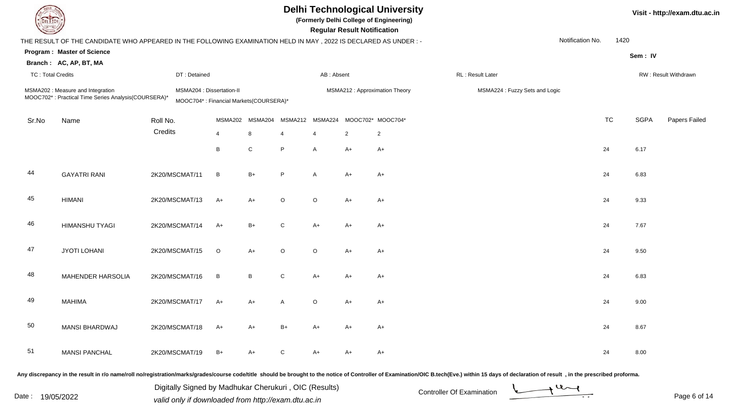| <b>DELTECH</b>           |                                                                                                                |                                                                     |         |             |              |                | <b>Regular Result Notification</b> | <b>Delhi Technological University</b><br>(Formerly Delhi College of Engineering) |                                                                                                                                                                                                                                |                  | Visit - http://exam.dtu.ac.in |             |                      |
|--------------------------|----------------------------------------------------------------------------------------------------------------|---------------------------------------------------------------------|---------|-------------|--------------|----------------|------------------------------------|----------------------------------------------------------------------------------|--------------------------------------------------------------------------------------------------------------------------------------------------------------------------------------------------------------------------------|------------------|-------------------------------|-------------|----------------------|
|                          | THE RESULT OF THE CANDIDATE WHO APPEARED IN THE FOLLOWING EXAMINATION HELD IN MAY, 2022 IS DECLARED AS UNDER:- |                                                                     |         |             |              |                |                                    |                                                                                  |                                                                                                                                                                                                                                | Notification No. | 1420                          |             |                      |
|                          | <b>Program: Master of Science</b>                                                                              |                                                                     |         |             |              |                |                                    |                                                                                  |                                                                                                                                                                                                                                |                  |                               | Sem: IV     |                      |
|                          | Branch: AC, AP, BT, MA                                                                                         |                                                                     |         |             |              |                |                                    |                                                                                  |                                                                                                                                                                                                                                |                  |                               |             |                      |
| <b>TC: Total Credits</b> |                                                                                                                | DT: Detained                                                        |         |             |              | AB: Absent     |                                    |                                                                                  | RL: Result Later                                                                                                                                                                                                               |                  |                               |             | RW: Result Withdrawn |
|                          | MSMA202 : Measure and Integration<br>MOOC702*: Practical Time Series Analysis(COURSERA)*                       | MSMA204 : Dissertation-II<br>MOOC704*: Financial Markets(COURSERA)* |         |             |              |                |                                    | MSMA212 : Approximation Theory                                                   | MSMA224 : Fuzzy Sets and Logic                                                                                                                                                                                                 |                  |                               |             |                      |
| Sr.No                    | Name                                                                                                           | Roll No.                                                            | MSMA202 | MSMA204     | MSMA212      | MSMA224        | MOOC702* MOOC704*                  |                                                                                  |                                                                                                                                                                                                                                | <b>TC</b>        |                               | <b>SGPA</b> | Papers Failed        |
|                          |                                                                                                                | Credits                                                             | 4       | 8           | 4            | $\overline{4}$ | $\overline{2}$                     | 2                                                                                |                                                                                                                                                                                                                                |                  |                               |             |                      |
|                          |                                                                                                                |                                                                     | B       | $\mathbf C$ | P            | A              | $A+$                               | $A+$                                                                             |                                                                                                                                                                                                                                | 24               |                               | 6.17        |                      |
| 44                       | <b>GAYATRI RANI</b>                                                                                            | 2K20/MSCMAT/11                                                      | B       | $B+$        | P            | A              | A+                                 | $A+$                                                                             |                                                                                                                                                                                                                                | 24               |                               | 6.83        |                      |
| 45                       | <b>HIMANI</b>                                                                                                  | 2K20/MSCMAT/13                                                      | $A+$    | $A+$        | $\circ$      | $\circ$        | A+                                 | $A+$                                                                             |                                                                                                                                                                                                                                | 24               |                               | 9.33        |                      |
| 46                       | HIMANSHU TYAGI                                                                                                 | 2K20/MSCMAT/14                                                      | $A+$    | $B+$        | C            | $A+$           | A+                                 | $A+$                                                                             |                                                                                                                                                                                                                                | 24               |                               | 7.67        |                      |
| 47                       | <b>JYOTI LOHANI</b>                                                                                            | 2K20/MSCMAT/15                                                      | $\circ$ | A+          | $\circ$      | $\circ$        | A+                                 | $A+$                                                                             |                                                                                                                                                                                                                                | 24               |                               | 9.50        |                      |
| 48                       | MAHENDER HARSOLIA                                                                                              | 2K20/MSCMAT/16                                                      | B       | B           | $\mathsf{C}$ | A+             | A+                                 | $A+$                                                                             |                                                                                                                                                                                                                                | 24               |                               | 6.83        |                      |
| 49                       | <b>MAHIMA</b>                                                                                                  | 2K20/MSCMAT/17                                                      | A+      | A+          | A            | $\circ$        | A+                                 | A+                                                                               |                                                                                                                                                                                                                                | 24               |                               | 9.00        |                      |
| 50                       | <b>MANSI BHARDWAJ</b>                                                                                          | 2K20/MSCMAT/18                                                      | A+      | $A+$        | $B+$         | A+             | A+                                 | $A+$                                                                             |                                                                                                                                                                                                                                | 24               |                               | 8.67        |                      |
| 51                       | <b>MANSI PANCHAL</b>                                                                                           | 2K20/MSCMAT/19                                                      | $B+$    | $A+$        | C            | A+             | A+                                 | $A+$                                                                             |                                                                                                                                                                                                                                | 24               |                               | 8.00        |                      |
|                          |                                                                                                                |                                                                     |         |             |              |                |                                    |                                                                                  | Any discrepancy in the result in r/o name/roll no/registration/marks/grades/course code/title should be brought to the notice of Controller of Examination/OIC B.tech(Eve.) within 15 days of declaration of result , in the p |                  |                               |             |                      |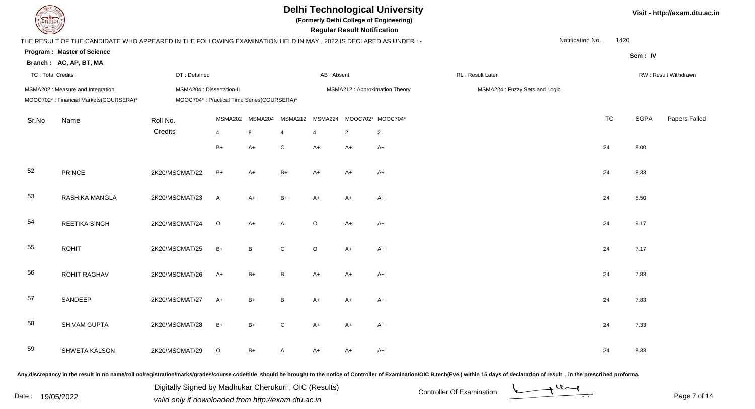**(Formerly Delhi College of Engineering)**

 **Regular Result Notification**

|                          | THE RESULT OF THE CANDIDATE WHO APPEARED IN THE FOLLOWING EXAMINATION HELD IN MAY, 2022 IS DECLARED AS UNDER :- | Notification No.                                                        | 1420                             |              |                                  |              |                |                                     |                                |           |             |                      |
|--------------------------|-----------------------------------------------------------------------------------------------------------------|-------------------------------------------------------------------------|----------------------------------|--------------|----------------------------------|--------------|----------------|-------------------------------------|--------------------------------|-----------|-------------|----------------------|
|                          | Program: Master of Science                                                                                      |                                                                         |                                  |              |                                  |              |                |                                     |                                |           | Sem: IV     |                      |
| <b>TC: Total Credits</b> | Branch: AC, AP, BT, MA                                                                                          | DT: Detained                                                            |                                  |              |                                  | AB: Absent   |                |                                     | RL: Result Later               |           |             | RW: Result Withdrawn |
|                          | MSMA202 : Measure and Integration<br>MOOC702*: Financial Markets(COURSERA)*                                     | MSMA204 : Dissertation-II<br>MOOC704*: Practical Time Series(COURSERA)* |                                  |              |                                  |              |                | MSMA212 : Approximation Theory      | MSMA224 : Fuzzy Sets and Logic |           |             |                      |
| Sr.No                    | Name                                                                                                            | Roll No.<br>Credits                                                     | <b>MSMA202</b><br>$\overline{4}$ | MSMA204<br>8 | <b>MSMA212</b><br>$\overline{4}$ | MSMA224<br>4 | $\overline{2}$ | MOOC702* MOOC704*<br>$\overline{2}$ |                                | <b>TC</b> | <b>SGPA</b> | <b>Papers Failed</b> |
|                          |                                                                                                                 |                                                                         | $B+$                             | $A+$         | ${\bf C}$                        | $A+$         | $A+$           | $A+$                                |                                | 24        | 8.00        |                      |
| 52                       | PRINCE                                                                                                          | 2K20/MSCMAT/22                                                          | $B+$                             | $A+$         | $B+$                             | $A+$         | $A+$           | $A+$                                |                                | 24        | 8.33        |                      |
| 53                       | RASHIKA MANGLA                                                                                                  | 2K20/MSCMAT/23                                                          | $\mathsf{A}$                     | $A+$         | $B+$                             | $A+$         | $A+$           | $A+$                                |                                | 24        | 8.50        |                      |
| 54                       | REETIKA SINGH                                                                                                   | 2K20/MSCMAT/24                                                          | $\circ$                          | $A+$         | A                                | $\circ$      | $A+$           | $A+$                                |                                | 24        | 9.17        |                      |
| 55                       | <b>ROHIT</b>                                                                                                    | 2K20/MSCMAT/25                                                          | $B+$                             | B            | ${\bf C}$                        | $\mathsf O$  | $A+$           | $A+$                                |                                | 24        | 7.17        |                      |
| 56                       | <b>ROHIT RAGHAV</b>                                                                                             | 2K20/MSCMAT/26                                                          | $A+$                             | $B+$         | $\, {\bf B} \,$                  | $A+$         | $A+$           | $A+$                                |                                | 24        | 7.83        |                      |
| 57                       | SANDEEP                                                                                                         | 2K20/MSCMAT/27                                                          | $A+$                             | $B+$         | B                                | $A+$         | $A+$           | $A+$                                |                                | 24        | 7.83        |                      |
| 58                       | SHIVAM GUPTA                                                                                                    | 2K20/MSCMAT/28                                                          | $B+$                             | $B+$         | $\mathbf C$                      | $A+$         | $A+$           | $A+$                                |                                | 24        | 7.33        |                      |
| 59                       | SHWETA KALSON                                                                                                   | 2K20/MSCMAT/29                                                          | $\circ$                          | $B+$         | A                                | $A+$         | A+             | $A+$                                |                                | 24        | 8.33        |                      |

Any discrepancy in the result in r/o name/roll no/registration/marks/grades/course code/title should be brought to the notice of Controller of Examination/OIC B.tech(Eve.) within 15 days of declaration of result, in the pr

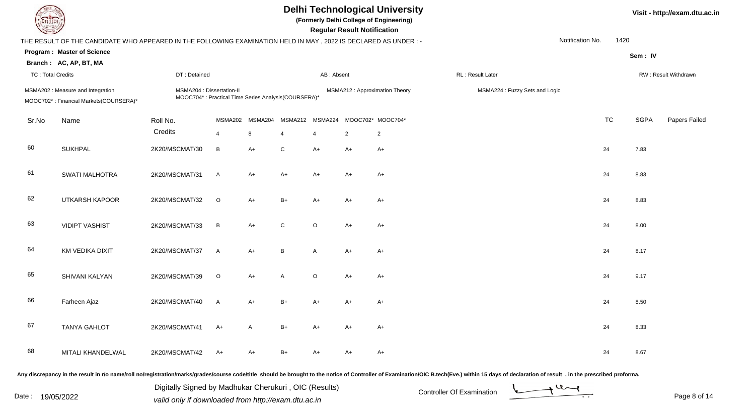**(Formerly Delhi College of Engineering)**

 **Regular Result Notification**

|                          | THE RESULT OF THE CANDIDATE WHO APPEARED IN THE FOLLOWING EXAMINATION HELD IN MAY, 2022 IS DECLARED AS UNDER :- |                                                                                  |                           |              |                 |              |                |                                                     |                  |                                | Notification No. | 1420      |             |                      |
|--------------------------|-----------------------------------------------------------------------------------------------------------------|----------------------------------------------------------------------------------|---------------------------|--------------|-----------------|--------------|----------------|-----------------------------------------------------|------------------|--------------------------------|------------------|-----------|-------------|----------------------|
|                          | Program: Master of Science<br>Branch: AC, AP, BT, MA                                                            |                                                                                  |                           |              |                 |              |                |                                                     |                  |                                |                  |           | Sem: IV     |                      |
| <b>TC: Total Credits</b> |                                                                                                                 | DT: Detained                                                                     |                           |              |                 | AB: Absent   |                |                                                     | RL: Result Later |                                |                  |           |             | RW: Result Withdrawn |
|                          | MSMA202 : Measure and Integration<br>MOOC702*: Financial Markets(COURSERA)*                                     | MSMA204 : Dissertation-II<br>MOOC704*: Practical Time Series Analysis(COURSERA)* |                           |              |                 |              |                | MSMA212 : Approximation Theory                      |                  | MSMA224 : Fuzzy Sets and Logic |                  |           |             |                      |
| Sr.No                    | Name                                                                                                            | Roll No.<br>Credits                                                              | MSMA202<br>$\overline{4}$ | MSMA204<br>8 | $\overline{4}$  | 4            | $\overline{2}$ | MSMA212 MSMA224 MOOC702* MOOC704*<br>$\overline{2}$ |                  |                                |                  | <b>TC</b> | <b>SGPA</b> | Papers Failed        |
| 60                       | <b>SUKHPAL</b>                                                                                                  | 2K20/MSCMAT/30                                                                   | B                         | $A+$         | $\mathbf C$     | $A+$         | $A+$           | $A+$                                                |                  |                                |                  | 24        | 7.83        |                      |
| 61                       | <b>SWATI MALHOTRA</b>                                                                                           | 2K20/MSCMAT/31                                                                   | $\mathsf{A}$              | $A+$         | $A+$            | $A+$         | A+             | $A+$                                                |                  |                                |                  | 24        | 8.83        |                      |
| 62                       | UTKARSH KAPOOR                                                                                                  | 2K20/MSCMAT/32                                                                   | $\circ$                   | $A+$         | $B+$            | $A+$         | A+             | A+                                                  |                  |                                |                  | 24        | 8.83        |                      |
| 63                       | <b>VIDIPT VASHIST</b>                                                                                           | 2K20/MSCMAT/33                                                                   | $\, {\sf B}$              | $A+$         | ${\bf C}$       | $\circ$      | A+             | $A+$                                                |                  |                                |                  | 24        | 8.00        |                      |
| 64                       | KM VEDIKA DIXIT                                                                                                 | 2K20/MSCMAT/37                                                                   | $\mathsf{A}$              | $A+$         | $\, {\bf B} \,$ | $\mathsf{A}$ | A+             | $A+$                                                |                  |                                |                  | 24        | 8.17        |                      |
| 65                       | SHIVANI KALYAN                                                                                                  | 2K20/MSCMAT/39                                                                   | $\mathsf O$               | $A+$         | $\mathsf A$     | $\circ$      | $A+$           | $A+$                                                |                  |                                |                  | 24        | 9.17        |                      |
| 66                       | Farheen Ajaz                                                                                                    | 2K20/MSCMAT/40                                                                   | $\mathsf{A}$              | $A+$         | $B+$            | $A+$         | $A+$           | $A+$                                                |                  |                                |                  | 24        | 8.50        |                      |
| 67                       | <b>TANYA GAHLOT</b>                                                                                             | 2K20/MSCMAT/41                                                                   | $A+$                      | $\mathsf{A}$ | $B+$            | A+           | A+             | $A+$                                                |                  |                                |                  | 24        | 8.33        |                      |
| 68                       | MITALI KHANDELWAL                                                                                               | 2K20/MSCMAT/42                                                                   | A+                        | A+           | $B+$            | A+           | A+             | A+                                                  |                  |                                |                  | 24        | 8.67        |                      |

Any discrepancy in the result in r/o name/roll no/registration/marks/grades/course code/title should be brought to the notice of Controller of Examination/OIC B.tech(Eve.) within 15 days of declaration of result, in the pr

Date : 19/05/2022 Valid only if downloaded from http://exam.dtu.ac.in<br>
Date : 19/05/2022 valid only if downloaded from http://exam.dtu.ac.in

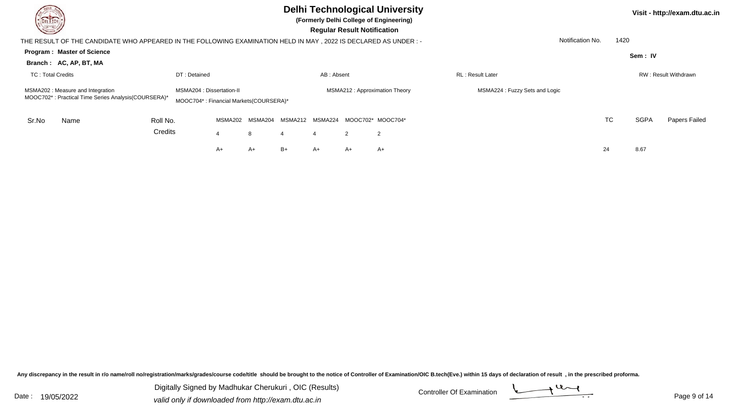| <b>DELTECH</b><br>$\sim$                                                                                         |          |                                                                     |         |         | <b>Regular Result Notification</b> | <b>Delhi Technological University</b><br>(Formerly Delhi College of Engineering) |    | Visit - http://exam.dtu.ac.in |                               |                  |      |             |                      |
|------------------------------------------------------------------------------------------------------------------|----------|---------------------------------------------------------------------|---------|---------|------------------------------------|----------------------------------------------------------------------------------|----|-------------------------------|-------------------------------|------------------|------|-------------|----------------------|
| THE RESULT OF THE CANDIDATE WHO APPEARED IN THE FOLLOWING EXAMINATION HELD IN MAY , 2022 IS DECLARED AS UNDER :- |          |                                                                     |         |         |                                    |                                                                                  |    |                               |                               | Notification No. | 1420 |             |                      |
| <b>Program: Master of Science</b>                                                                                |          |                                                                     |         |         |                                    |                                                                                  |    |                               |                               |                  |      | Sem: IV     |                      |
| Branch: AC, AP, BT, MA                                                                                           |          |                                                                     |         |         |                                    |                                                                                  |    |                               |                               |                  |      |             |                      |
| <b>TC: Total Credits</b>                                                                                         |          | DT: Detained                                                        |         |         |                                    | AB: Absent                                                                       |    |                               | RL: Result Later              |                  |      |             | RW: Result Withdrawn |
| MSMA202: Measure and Integration<br>MOOC702*: Practical Time Series Analysis(COURSERA)*                          |          | MSMA204 : Dissertation-II<br>MOOC704*: Financial Markets(COURSERA)* |         |         |                                    |                                                                                  |    | MSMA212: Approximation Theory | MSMA224: Fuzzy Sets and Logic |                  |      |             |                      |
| Sr.No<br>Name                                                                                                    | Roll No. |                                                                     | MSMA202 | MSMA204 | MSMA212                            | MSMA224                                                                          |    | MOOC702* MOOC704*             |                               | TC               |      | <b>SGPA</b> | Papers Failed        |
|                                                                                                                  | Credits  |                                                                     |         | 8       |                                    |                                                                                  | 2  | 2                             |                               |                  |      |             |                      |
|                                                                                                                  |          |                                                                     | A+      | A+      | B+                                 | A+                                                                               | A+ | $A+$                          |                               | 24               |      | 8.67        |                      |

Any discrepancy in the result in r/o name/roll no/registration/marks/grades/course code/title should be brought to the notice of Controller of Examination/OIC B.tech(Eve.) within 15 days of declaration of result ,in the p

Digitally Signed by Madhukar Cherukuri, OIC (Results)<br>Date : 19/05/2022 valid only if downloaded from http://oxam.dtu.ac.in Digitally Signed by Madhukar Cherukuri , OIC (Results)valid only if downloaded from http://exam.dtu.ac.in

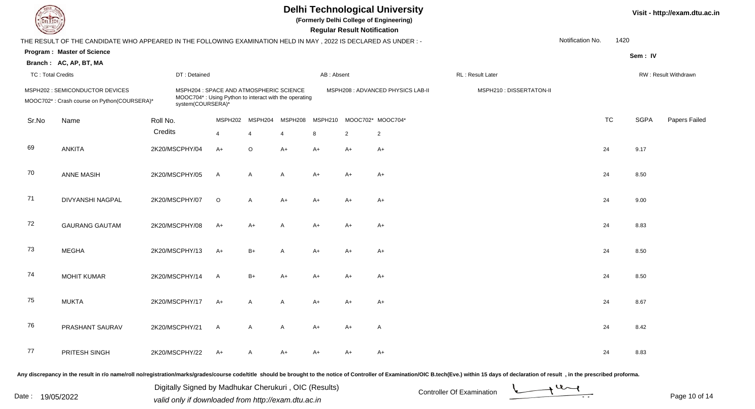**(Formerly Delhi College of Engineering)**

 **Regular Result Notification**

| $\sim$                   |                                                                                                                |          |                                                                                                                       |                |                |                |            | n <del>e</del> guiai nesuit notification |                                   |                          |                  |           |             |                      |
|--------------------------|----------------------------------------------------------------------------------------------------------------|----------|-----------------------------------------------------------------------------------------------------------------------|----------------|----------------|----------------|------------|------------------------------------------|-----------------------------------|--------------------------|------------------|-----------|-------------|----------------------|
|                          | THE RESULT OF THE CANDIDATE WHO APPEARED IN THE FOLLOWING EXAMINATION HELD IN MAY, 2022 IS DECLARED AS UNDER:- |          |                                                                                                                       |                |                |                |            |                                          |                                   |                          | Notification No. | 1420      |             |                      |
|                          | <b>Program: Master of Science</b>                                                                              |          |                                                                                                                       |                |                |                |            |                                          |                                   |                          |                  |           | Sem: IV     |                      |
|                          | Branch: AC, AP, BT, MA                                                                                         |          |                                                                                                                       |                |                |                |            |                                          |                                   |                          |                  |           |             |                      |
| <b>TC: Total Credits</b> |                                                                                                                |          | DT: Detained                                                                                                          |                |                |                | AB: Absent |                                          |                                   | RL: Result Later         |                  |           |             | RW: Result Withdrawn |
|                          | MSPH202 : SEMICONDUCTOR DEVICES<br>MOOC702*: Crash course on Python(COURSERA)*                                 |          | MSPH204 : SPACE AND ATMOSPHERIC SCIENCE<br>MOOC704*: Using Python to interact with the operating<br>system(COURSERA)* |                |                |                |            |                                          | MSPH208 : ADVANCED PHYSICS LAB-II | MSPH210 : DISSERTATON-II |                  |           |             |                      |
| Sr.No                    | Name                                                                                                           | Roll No. |                                                                                                                       | MSPH202        | MSPH204        | MSPH208        | MSPH210    |                                          | MOOC702* MOOC704*                 |                          |                  | <b>TC</b> | <b>SGPA</b> | Papers Failed        |
|                          |                                                                                                                | Credits  |                                                                                                                       | $\overline{4}$ | $\overline{4}$ | $\overline{4}$ | 8          | $\overline{2}$                           | $\sqrt{2}$                        |                          |                  |           |             |                      |
| 69                       | <b>ANKITA</b>                                                                                                  |          | 2K20/MSCPHY/04                                                                                                        | $A+$           | $\circ$        | $A+$           | $A+$       | $A+$                                     | $A+$                              |                          |                  | 24        | 9.17        |                      |
| 70                       | <b>ANNE MASIH</b>                                                                                              |          | 2K20/MSCPHY/05                                                                                                        | $\mathsf{A}$   | $\mathsf{A}$   | A              | $A+$       | $A+$                                     | $A+$                              |                          |                  | 24        | 8.50        |                      |
| 71                       | DIVYANSHI NAGPAL                                                                                               |          | 2K20/MSCPHY/07                                                                                                        | $\circ$        | $\mathsf{A}$   | $A+$           | $A+$       | $A+$                                     | $A+$                              |                          |                  | 24        | 9.00        |                      |
| 72                       | <b>GAURANG GAUTAM</b>                                                                                          |          | 2K20/MSCPHY/08                                                                                                        | $A+$           | $A+$           | A              | $A+$       | A+                                       | $A+$                              |                          |                  | 24        | 8.83        |                      |
| 73                       | <b>MEGHA</b>                                                                                                   |          | 2K20/MSCPHY/13                                                                                                        | $A+$           | $B+$           | A              | $A+$       | $A+$                                     | $A+$                              |                          |                  | 24        | 8.50        |                      |
| 74                       | <b>MOHIT KUMAR</b>                                                                                             |          | 2K20/MSCPHY/14                                                                                                        | $\mathsf{A}$   | $B+$           | $A+$           | $A+$       | $A+$                                     | $A+$                              |                          |                  | 24        | 8.50        |                      |
| 75                       | <b>MUKTA</b>                                                                                                   |          | 2K20/MSCPHY/17                                                                                                        | $A+$           | A              | A              | $A+$       | A+                                       | $A+$                              |                          |                  | 24        | 8.67        |                      |
| 76                       | PRASHANT SAURAV                                                                                                |          | 2K20/MSCPHY/21                                                                                                        | $\mathsf{A}$   | A              | A              | $A+$       | $A+$                                     | $\mathsf{A}$                      |                          |                  | 24        | 8.42        |                      |
| 77                       | PRITESH SINGH                                                                                                  |          | 2K20/MSCPHY/22                                                                                                        | A+             | A              | $A+$           | A+         | A+                                       | $A+$                              |                          |                  | 24        | 8.83        |                      |
|                          |                                                                                                                |          |                                                                                                                       |                |                |                |            |                                          |                                   |                          |                  |           |             |                      |

Any discrepancy in the result in r/o name/roll no/registration/marks/grades/course code/title should be brought to the notice of Controller of Examination/OIC B.tech(Eve.) within 15 days of declaration of result, in the pr

Date : 19/05/2022 Valid only if downloaded from http://exam.dtu.ac.in<br>
Date : 19/05/2022 valid only if downloaded from http://exam.dtu.ac.in

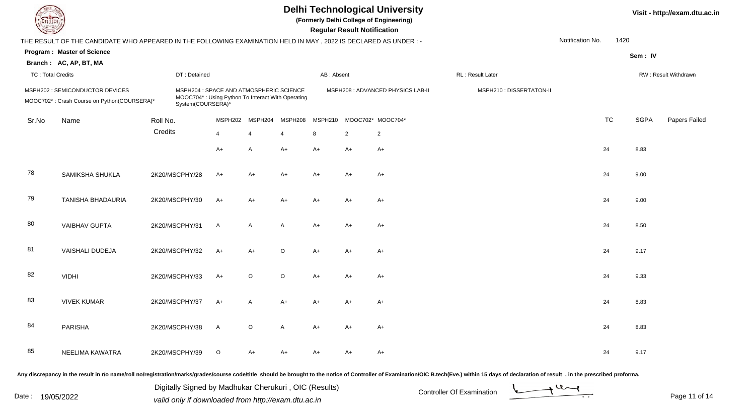| <b>DELTECH</b> |                          |                                                                                                                |                |                                                                                                                   |                |                         |            | <b>Regular Result Notification</b> | <b>Delhi Technological University</b><br>(Formerly Delhi College of Engineering) |                          |                  | Visit - http://exam.dtu.a |                              |  |
|----------------|--------------------------|----------------------------------------------------------------------------------------------------------------|----------------|-------------------------------------------------------------------------------------------------------------------|----------------|-------------------------|------------|------------------------------------|----------------------------------------------------------------------------------|--------------------------|------------------|---------------------------|------------------------------|--|
|                |                          | THE RESULT OF THE CANDIDATE WHO APPEARED IN THE FOLLOWING EXAMINATION HELD IN MAY, 2022 IS DECLARED AS UNDER:- |                |                                                                                                                   |                |                         |            |                                    |                                                                                  |                          | Notification No. | 1420                      |                              |  |
|                |                          | <b>Program: Master of Science</b>                                                                              |                |                                                                                                                   |                |                         |            |                                    |                                                                                  |                          |                  |                           | Sem: IV                      |  |
|                |                          | Branch: AC, AP, BT, MA                                                                                         |                |                                                                                                                   |                |                         |            |                                    |                                                                                  |                          |                  |                           |                              |  |
|                | <b>TC: Total Credits</b> |                                                                                                                |                | DT: Detained                                                                                                      |                |                         | AB: Absent |                                    |                                                                                  | RL: Result Later         |                  |                           | RW: Result Withdrawn         |  |
|                |                          | MSPH202 : SEMICONDUCTOR DEVICES<br>MOOC702*: Crash Course on Python(COURSERA)*                                 |                | MSPH204 : SPACE AND ATMOSPHERIC SCIENCE<br>MOOC704*: Using Python To Interact With Operating<br>System(COURSERA)* |                |                         |            |                                    | MSPH208 : ADVANCED PHYSICS LAB-II                                                | MSPH210 : DISSERTATON-II |                  |                           |                              |  |
|                | Sr.No                    | Name                                                                                                           | Roll No.       | MSPH202                                                                                                           | MSPH204        | MSPH208                 | MSPH210    |                                    | MOOC702* MOOC704*                                                                |                          | <b>TC</b>        |                           | <b>SGPA</b><br>Papers Failed |  |
|                |                          |                                                                                                                | Credits        | $\overline{4}$                                                                                                    | $\overline{4}$ | $\overline{\mathbf{4}}$ | 8          | $\overline{2}$                     | $\overline{2}$                                                                   |                          |                  |                           |                              |  |
|                |                          |                                                                                                                |                | $A+$                                                                                                              | $\mathsf{A}$   | $A+$                    | $A+$       | $A+$                               | $A+$                                                                             |                          | 24               |                           | 8.83                         |  |
|                | 78                       | SAMIKSHA SHUKLA                                                                                                | 2K20/MSCPHY/28 | $A+$                                                                                                              | $A+$           | $A+$                    | A+         | $A+$                               | $A+$                                                                             |                          | 24               |                           | 9.00                         |  |
|                | 79                       | TANISHA BHADAURIA                                                                                              | 2K20/MSCPHY/30 | $A+$                                                                                                              | $A+$           | $A+$                    | $A+$       | $A+$                               | $A+$                                                                             |                          | 24               |                           | 9.00                         |  |
|                | 80                       | <b>VAIBHAV GUPTA</b>                                                                                           | 2K20/MSCPHY/31 | A                                                                                                                 | A              | $\overline{A}$          | $A+$       | $A+$                               | $A+$                                                                             |                          | 24               |                           | 8.50                         |  |
|                | 81                       | <b>VAISHALI DUDEJA</b>                                                                                         | 2K20/MSCPHY/32 | $A+$                                                                                                              | $A+$           | $\circ$                 | $A+$       | $A+$                               | $A+$                                                                             |                          | 24               |                           | 9.17                         |  |
|                | 82                       | <b>VIDHI</b>                                                                                                   | 2K20/MSCPHY/33 | $A+$                                                                                                              | $\circ$        | $\circ$                 | $A+$       | $A+$                               | $A+$                                                                             |                          | 24               |                           | 9.33                         |  |
|                | 83                       | <b>VIVEK KUMAR</b>                                                                                             | 2K20/MSCPHY/37 | $A+$                                                                                                              | $\mathsf{A}$   | $A+$                    | $A+$       | $A+$                               | $A+$                                                                             |                          | 24               |                           | 8.83                         |  |
|                | 84                       | <b>PARISHA</b>                                                                                                 | 2K20/MSCPHY/38 | $\overline{A}$                                                                                                    | $\Omega$       | A                       | $A+$       | $A+$                               | $A+$                                                                             |                          | 24               |                           | 8.83                         |  |
|                |                          |                                                                                                                |                |                                                                                                                   |                |                         |            |                                    |                                                                                  |                          |                  |                           |                              |  |

Any discrepancy in the result in r/o name/roll no/registration/marks/grades/course code/title should be brought to the notice of Controller of Examination/OIC B.tech(Eve.) within 15 days of declaration of result, in the pr

A 2K20/MSCPHY/39 O A+ A+ A+ A+ A+ A+ A+ C+ 24 9.17

NEELIMA KAWATRA

85

Date : 19/05/2022 Valid only if downloaded from http://exam.dtu.ac.in<br>
Date : 19/05/2022 valid only if downloaded from http://exam.dtu.ac.in Digitally Signed by Madhukar Cherukuri , OIC (Results)

**Visit - http://exam.dtu.ac.in**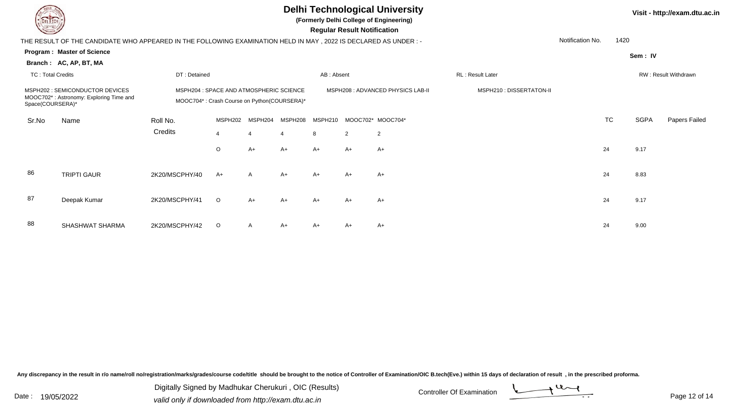| <b>Delhi Technological University</b><br>(Formerly Delhi College of Engineering)<br><b>Regular Result Notification</b> |                                                                                                                  |                                                                                        |         |              |         |            |                |                                   |                          | Visit - http://exam.dtu.ac.in |                      |             |               |
|------------------------------------------------------------------------------------------------------------------------|------------------------------------------------------------------------------------------------------------------|----------------------------------------------------------------------------------------|---------|--------------|---------|------------|----------------|-----------------------------------|--------------------------|-------------------------------|----------------------|-------------|---------------|
|                                                                                                                        | THE RESULT OF THE CANDIDATE WHO APPEARED IN THE FOLLOWING EXAMINATION HELD IN MAY , 2022 IS DECLARED AS UNDER :- |                                                                                        |         |              |         |            |                |                                   |                          | Notification No.              | 1420                 |             |               |
|                                                                                                                        | <b>Program: Master of Science</b>                                                                                |                                                                                        |         |              |         |            |                |                                   |                          |                               |                      | Sem: IV     |               |
|                                                                                                                        | Branch: AC, AP, BT, MA                                                                                           |                                                                                        |         |              |         |            |                |                                   |                          |                               |                      |             |               |
| <b>TC: Total Credits</b>                                                                                               |                                                                                                                  | DT: Detained                                                                           |         |              |         | AB: Absent |                |                                   | <b>RL: Result Later</b>  |                               | RW: Result Withdrawn |             |               |
| MSPH202 : SEMICONDUCTOR DEVICES<br>MOOC702*: Astronomy: Exploring Time and<br>Space(COURSERA)*                         |                                                                                                                  | MSPH204 : SPACE AND ATMOSPHERIC SCIENCE<br>MOOC704*: Crash Course on Python(COURSERA)* |         |              |         |            |                | MSPH208 : ADVANCED PHYSICS LAB-II | MSPH210 : DISSERTATON-II |                               |                      |             |               |
| Sr.No                                                                                                                  | Name                                                                                                             | Roll No.                                                                               | MSPH202 | MSPH204      | MSPH208 | MSPH210    |                | MOOC702* MOOC704*                 |                          |                               | <b>TC</b>            | <b>SGPA</b> | Papers Failed |
|                                                                                                                        |                                                                                                                  | Credits                                                                                | 4       |              | 4       | 8          | $\overline{2}$ | $\overline{c}$                    |                          |                               |                      |             |               |
|                                                                                                                        |                                                                                                                  |                                                                                        | $\circ$ | $A+$         | $A+$    | $A+$       | $A+$           | $A+$                              |                          |                               | 24                   | 9.17        |               |
| 86                                                                                                                     | <b>TRIPTI GAUR</b>                                                                                               | 2K20/MSCPHY/40                                                                         | $A+$    | $\mathsf{A}$ | $A+$    | $A+$       | $A+$           | $A+$                              |                          |                               | 24                   | 8.83        |               |
| 87                                                                                                                     | Deepak Kumar                                                                                                     | 2K20/MSCPHY/41                                                                         | $\circ$ | $A+$         | $A+$    | $A+$       | $A+$           | $A+$                              |                          |                               | 24                   | 9.17        |               |
| 88                                                                                                                     | SHASHWAT SHARMA                                                                                                  | 2K20/MSCPHY/42                                                                         | $\circ$ | $\mathsf{A}$ | $A+$    | A+         | A+             | $A+$                              |                          |                               | 24                   | 9.00        |               |

Any discrepancy in the result in r/o name/roll no/registration/marks/grades/course code/title should be brought to the notice of Controller of Examination/OIC B.tech(Eve.) within 15 days of declaration of result ,in the p

Digitally Signed by Madhukar Cherukuri, OIC (Results)<br>Date : 19/05/2022 valid only if downloaded from http://oxam.dtu.ac.in Digitally Signed by Madhukar Cherukuri , OIC (Results)valid only if downloaded from http://exam.dtu.ac.in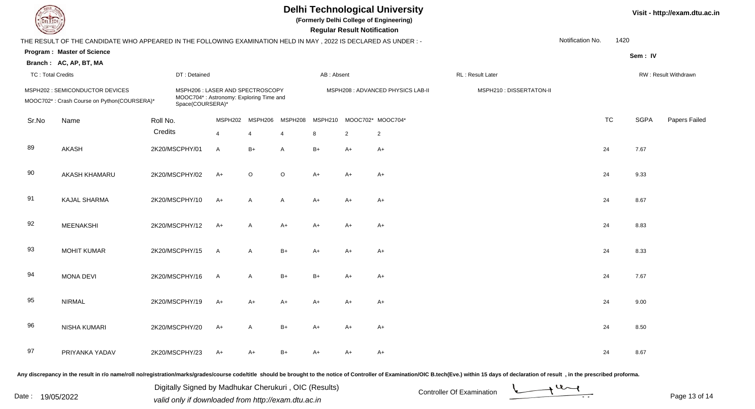**(Formerly Delhi College of Engineering)**

 **Regular Result Notification**

| $\sim$                   |                                                                                                                |          |                |                                                                                                |                |                | <b>Regular Result Rothloution</b> |                |                                   |                          |                  |           |             |                      |
|--------------------------|----------------------------------------------------------------------------------------------------------------|----------|----------------|------------------------------------------------------------------------------------------------|----------------|----------------|-----------------------------------|----------------|-----------------------------------|--------------------------|------------------|-----------|-------------|----------------------|
|                          | THE RESULT OF THE CANDIDATE WHO APPEARED IN THE FOLLOWING EXAMINATION HELD IN MAY, 2022 IS DECLARED AS UNDER:- |          |                |                                                                                                |                |                |                                   |                |                                   |                          | Notification No. | 1420      |             |                      |
|                          | <b>Program: Master of Science</b>                                                                              |          |                |                                                                                                |                |                |                                   |                |                                   |                          |                  |           | Sem: IV     |                      |
|                          | Branch: AC, AP, BT, MA                                                                                         |          |                |                                                                                                |                |                |                                   |                |                                   |                          |                  |           |             |                      |
| <b>TC: Total Credits</b> |                                                                                                                |          | DT: Detained   |                                                                                                |                |                | AB: Absent                        |                |                                   | RL : Result Later        |                  |           |             | RW: Result Withdrawn |
|                          | MSPH202 : SEMICONDUCTOR DEVICES<br>MOOC702*: Crash Course on Python(COURSERA)*                                 |          |                | MSPH206: LASER AND SPECTROSCOPY<br>MOOC704*: Astronomy: Exploring Time and<br>Space(COURSERA)* |                |                |                                   |                | MSPH208 : ADVANCED PHYSICS LAB-II | MSPH210 : DISSERTATON-II |                  |           |             |                      |
| Sr.No                    | Name                                                                                                           | Roll No. |                | MSPH202                                                                                        | MSPH206        | MSPH208        | MSPH210                           |                | MOOC702* MOOC704*                 |                          |                  | <b>TC</b> | <b>SGPA</b> | Papers Failed        |
|                          |                                                                                                                | Credits  |                | $\overline{4}$                                                                                 | $\overline{4}$ | $\overline{4}$ | 8                                 | $\overline{2}$ | $\overline{2}$                    |                          |                  |           |             |                      |
| 89                       | <b>AKASH</b>                                                                                                   |          | 2K20/MSCPHY/01 | $\mathsf{A}$                                                                                   | $B+$           | A              | $B+$                              | $A+$           | $A+$                              |                          | 24               |           | 7.67        |                      |
| 90                       | AKASH KHAMARU                                                                                                  |          | 2K20/MSCPHY/02 | $A+$                                                                                           | $\circ$        | $\circ$        | $A+$                              | $A+$           | $A+$                              |                          | 24               |           | 9.33        |                      |
| 91                       | KAJAL SHARMA                                                                                                   |          | 2K20/MSCPHY/10 | $A+$                                                                                           | $\mathsf{A}$   | $\mathsf{A}$   | $A+$                              | $A+$           | $A+$                              |                          | 24               |           | 8.67        |                      |
| 92                       | <b>MEENAKSHI</b>                                                                                               |          | 2K20/MSCPHY/12 | $A+$                                                                                           | $\mathsf{A}$   | $A+$           | $A+$                              | $A+$           | $A+$                              |                          | 24               |           | 8.83        |                      |
| 93                       | <b>MOHIT KUMAR</b>                                                                                             |          | 2K20/MSCPHY/15 | $\mathsf{A}$                                                                                   | $\mathsf{A}$   | $B+$           | $A+$                              | $A+$           | A+                                |                          | 24               |           | 8.33        |                      |
| 94                       | <b>MONA DEVI</b>                                                                                               |          | 2K20/MSCPHY/16 | $\overline{A}$                                                                                 | $\mathsf{A}$   | $B+$           | $B+$                              | $A+$           | $A+$                              |                          | 24               |           | 7.67        |                      |
| 95                       | <b>NIRMAL</b>                                                                                                  |          | 2K20/MSCPHY/19 | $A+$                                                                                           | $A+$           | $A+$           | $A+$                              | $A+$           | $A+$                              |                          | 24               |           | 9.00        |                      |
| 96                       | NISHA KUMARI                                                                                                   |          | 2K20/MSCPHY/20 | $A+$                                                                                           | $\mathsf{A}$   | $B+$           | $A+$                              | A+             | $A+$                              |                          | 24               |           | 8.50        |                      |
| 97                       | PRIYANKA YADAV                                                                                                 |          | 2K20/MSCPHY/23 | $A+$                                                                                           | $A+$           | $B+$           | $A+$                              | A+             | $A+$                              |                          | 24               |           | 8.67        |                      |
|                          |                                                                                                                |          |                |                                                                                                |                |                |                                   |                |                                   |                          |                  |           |             |                      |

Any discrepancy in the result in r/o name/roll no/registration/marks/grades/course code/title should be brought to the notice of Controller of Examination/OIC B.tech(Eve.) within 15 days of declaration of result, in the pr

Date : 19/05/2022 Valid only if downloaded from http://exam.dtu.ac.in<br>
Date : 19/05/2022 valid only if downloaded from http://exam.dtu.ac.in